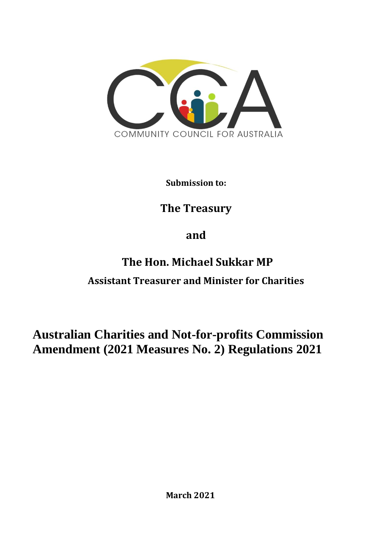

**Submission to:**

# **The Treasury**

# **and**

# **The Hon. Michael Sukkar MP Assistant Treasurer and Minister for Charities**

# **Australian Charities and Not-for-profits Commission Amendment (2021 Measures No. 2) Regulations 2021**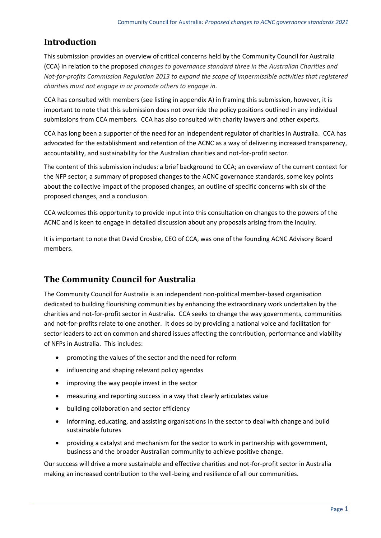## **Introduction**

This submission provides an overview of critical concerns held by the Community Council for Australia (CCA) in relation to the proposed *changes to governance standard three in the Australian Charities and Not-for-profits Commission Regulation 2013 to expand the scope of impermissible activities that registered charities must not engage in or promote others to engage in.*

CCA has consulted with members (see listing in appendix A) in framing this submission, however, it is important to note that this submission does not override the policy positions outlined in any individual submissions from CCA members. CCA has also consulted with charity lawyers and other experts.

CCA has long been a supporter of the need for an independent regulator of charities in Australia. CCA has advocated for the establishment and retention of the ACNC as a way of delivering increased transparency, accountability, and sustainability for the Australian charities and not-for-profit sector.

The content of this submission includes: a brief background to CCA; an overview of the current context for the NFP sector; a summary of proposed changes to the ACNC governance standards, some key points about the collective impact of the proposed changes, an outline of specific concerns with six of the proposed changes, and a conclusion.

CCA welcomes this opportunity to provide input into this consultation on changes to the powers of the ACNC and is keen to engage in detailed discussion about any proposals arising from the Inquiry.

It is important to note that David Crosbie, CEO of CCA, was one of the founding ACNC Advisory Board members.

## **The Community Council for Australia**

The Community Council for Australia is an independent non-political member-based organisation dedicated to building flourishing communities by enhancing the extraordinary work undertaken by the charities and not-for-profit sector in Australia. CCA seeks to change the way governments, communities and not-for-profits relate to one another. It does so by providing a national voice and facilitation for sector leaders to act on common and shared issues affecting the contribution, performance and viability of NFPs in Australia. This includes:

- promoting the values of the sector and the need for reform
- influencing and shaping relevant policy agendas
- improving the way people invest in the sector
- measuring and reporting success in a way that clearly articulates value
- building collaboration and sector efficiency
- informing, educating, and assisting organisations in the sector to deal with change and build sustainable futures
- providing a catalyst and mechanism for the sector to work in partnership with government, business and the broader Australian community to achieve positive change.

Our success will drive a more sustainable and effective charities and not-for-profit sector in Australia making an increased contribution to the well-being and resilience of all our communities.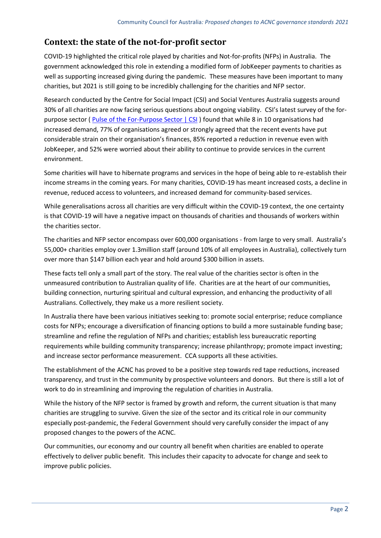## **Context: the state of the not-for-profit sector**

COVID-19 highlighted the critical role played by charities and Not-for-profits (NFPs) in Australia. The government acknowledged this role in extending a modified form of JobKeeper payments to charities as well as supporting increased giving during the pandemic. These measures have been important to many charities, but 2021 is still going to be incredibly challenging for the charities and NFP sector.

Research conducted by the Centre for Social Impact (CSI) and Social Ventures Australia suggests around 30% of all charities are now facing serious questions about ongoing viability. CSI's latest survey of the forpurpose sector ( [Pulse of the For-Purpose Sector | CSI](https://www.csi.edu.au/research/project/pulse-of-the-for-purpose-sector/) ) found that while 8 in 10 organisations had increased demand, 77% of organisations agreed or strongly agreed that the recent events have put considerable strain on their organisation's finances, 85% reported a reduction in revenue even with JobKeeper, and 52% were worried about their ability to continue to provide services in the current environment.

Some charities will have to hibernate programs and services in the hope of being able to re-establish their income streams in the coming years. For many charities, COVID-19 has meant increased costs, a decline in revenue, reduced access to volunteers, and increased demand for community-based services.

While generalisations across all charities are very difficult within the COVID-19 context, the one certainty is that COVID-19 will have a negative impact on thousands of charities and thousands of workers within the charities sector.

The charities and NFP sector encompass over 600,000 organisations - from large to very small. Australia's 55,000+ charities employ over 1.3million staff (around 10% of all employees in Australia), collectively turn over more than \$147 billion each year and hold around \$300 billion in assets.

These facts tell only a small part of the story. The real value of the charities sector is often in the unmeasured contribution to Australian quality of life. Charities are at the heart of our communities, building connection, nurturing spiritual and cultural expression, and enhancing the productivity of all Australians. Collectively, they make us a more resilient society.

In Australia there have been various initiatives seeking to: promote social enterprise; reduce compliance costs for NFPs; encourage a diversification of financing options to build a more sustainable funding base; streamline and refine the regulation of NFPs and charities; establish less bureaucratic reporting requirements while building community transparency; increase philanthropy; promote impact investing; and increase sector performance measurement. CCA supports all these activities.

The establishment of the ACNC has proved to be a positive step towards red tape reductions, increased transparency, and trust in the community by prospective volunteers and donors. But there is still a lot of work to do in streamlining and improving the regulation of charities in Australia.

While the history of the NFP sector is framed by growth and reform, the current situation is that many charities are struggling to survive. Given the size of the sector and its critical role in our community especially post-pandemic, the Federal Government should very carefully consider the impact of any proposed changes to the powers of the ACNC.

Our communities, our economy and our country all benefit when charities are enabled to operate effectively to deliver public benefit. This includes their capacity to advocate for change and seek to improve public policies.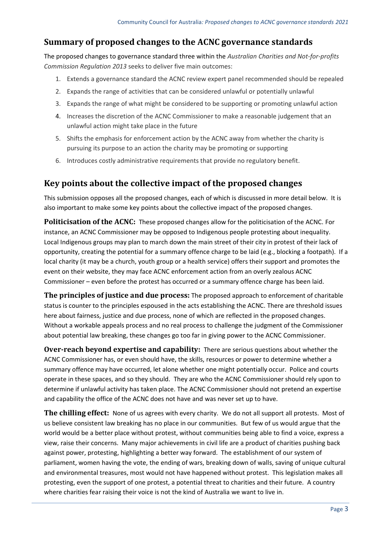## **Summary of proposed changes to the ACNC governance standards**

The proposed changes to governance standard three within the *Australian Charities and Not-for-profits Commission Regulation 2013* seeks to deliver five main outcomes:

- 1. Extends a governance standard the ACNC review expert panel recommended should be repealed
- 2. Expands the range of activities that can be considered unlawful or potentially unlawful
- 3. Expands the range of what might be considered to be supporting or promoting unlawful action
- 4. Increases the discretion of the ACNC Commissioner to make a reasonable judgement that an unlawful action might take place in the future
- 5. Shifts the emphasis for enforcement action by the ACNC away from whether the charity is pursuing its purpose to an action the charity may be promoting or supporting
- 6. Introduces costly administrative requirements that provide no regulatory benefit.

#### **Key points about the collective impact of the proposed changes**

This submission opposes all the proposed changes, each of which is discussed in more detail below. It is also important to make some key points about the collective impact of the proposed changes.

**Politicisation of the ACNC:** These proposed changes allow for the politicisation of the ACNC. For instance, an ACNC Commissioner may be opposed to Indigenous people protesting about inequality. Local Indigenous groups may plan to march down the main street of their city in protest of their lack of opportunity, creating the potential for a summary offence charge to be laid (e.g., blocking a footpath). If a local charity (it may be a church, youth group or a health service) offers their support and promotes the event on their website, they may face ACNC enforcement action from an overly zealous ACNC Commissioner – even before the protest has occurred or a summary offence charge has been laid.

**The principles of justice and due process:** The proposed approach to enforcement of charitable status is counter to the principles espoused in the acts establishing the ACNC. There are threshold issues here about fairness, justice and due process, none of which are reflected in the proposed changes. Without a workable appeals process and no real process to challenge the judgment of the Commissioner about potential law breaking, these changes go too far in giving power to the ACNC Commissioner.

**Over-reach beyond expertise and capability:** There are serious questions about whether the ACNC Commissioner has, or even should have, the skills, resources or power to determine whether a summary offence may have occurred, let alone whether one might potentially occur. Police and courts operate in these spaces, and so they should. They are who the ACNC Commissioner should rely upon to determine if unlawful activity has taken place. The ACNC Commissioner should not pretend an expertise and capability the office of the ACNC does not have and was never set up to have.

**The chilling effect:** None of us agrees with every charity. We do not all support all protests. Most of us believe consistent law breaking has no place in our communities. But few of us would argue that the world would be a better place without protest, without communities being able to find a voice, express a view, raise their concerns. Many major achievements in civil life are a product of charities pushing back against power, protesting, highlighting a better way forward. The establishment of our system of parliament, women having the vote, the ending of wars, breaking down of walls, saving of unique cultural and environmental treasures, most would not have happened without protest. This legislation makes all protesting, even the support of one protest, a potential threat to charities and their future. A country where charities fear raising their voice is not the kind of Australia we want to live in.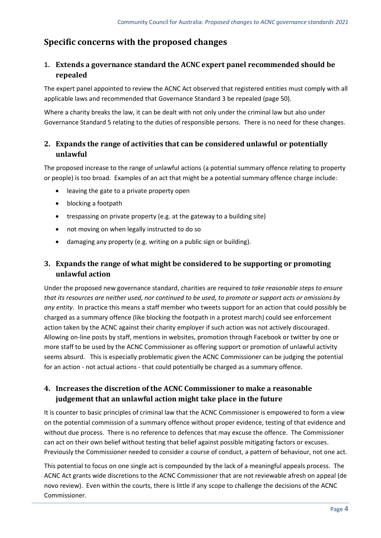## **Specific concerns with the proposed changes**

#### **1. Extends a governance standard the ACNC expert panel recommended should be repealed**

The expert panel appointed to review the ACNC Act observed that registered entities must comply with all applicable laws and recommended that Governance Standard 3 be repealed (page 50).

Where a charity breaks the law, it can be dealt with not only under the criminal law but also under Governance Standard 5 relating to the duties of responsible persons. There is no need for these changes.

#### **2. Expands the range of activities that can be considered unlawful or potentially unlawful**

The proposed increase to the range of unlawful actions (a potential summary offence relating to property or people) is too broad. Examples of an act that might be a potential summary offence charge include:

- leaving the gate to a private property open
- blocking a footpath
- trespassing on private property (e.g. at the gateway to a building site)
- not moving on when legally instructed to do so
- damaging any property (e.g. writing on a public sign or building).

#### **3. Expands the range of what might be considered to be supporting or promoting unlawful action**

Under the proposed new governance standard, charities are required to *take reasonable steps to ensure that its resources are neither used, nor continued to be used, to promote or support acts or omissions by any entity*. In practice this means a staff member who tweets support for an action that could possibly be charged as a summary offence (like blocking the footpath in a protest march) could see enforcement action taken by the ACNC against their charity employer if such action was not actively discouraged. Allowing on-line posts by staff, mentions in websites, promotion through Facebook or twitter by one or more staff to be used by the ACNC Commissioner as offering support or promotion of unlawful activity seems absurd. This is especially problematic given the ACNC Commissioner can be judging the potential for an action - not actual actions - that could potentially be charged as a summary offence.

#### **4. Increases the discretion of the ACNC Commissioner to make a reasonable judgement that an unlawful action might take place in the future**

It is counter to basic principles of criminal law that the ACNC Commissioner is empowered to form a view on the potential commission of a summary offence without proper evidence, testing of that evidence and without due process. There is no reference to defences that may excuse the offence. The Commissioner can act on their own belief without testing that belief against possible mitigating factors or excuses. Previously the Commissioner needed to consider a course of conduct, a pattern of behaviour, not one act.

This potential to focus on one single act is compounded by the lack of a meaningful appeals process. The ACNC Act grants wide discretions to the ACNC Commissioner that are not reviewable afresh on appeal (de novo review). Even within the courts, there is little if any scope to challenge the decisions of the ACNC Commissioner.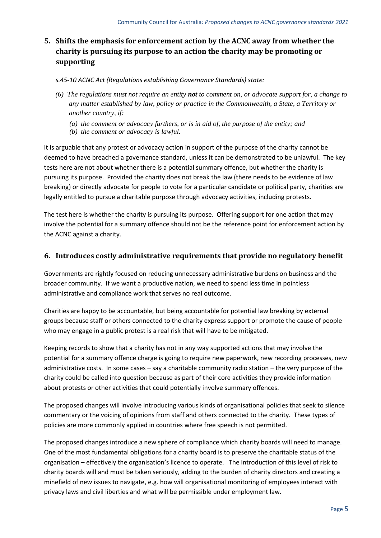### **5. Shifts the emphasis for enforcement action by the ACNC away from whether the charity is pursuing its purpose to an action the charity may be promoting or supporting**

*s.45-10 ACNC Act (Regulations establishing Governance Standards) state:*

- *(6) The regulations must not require an entity not to comment on, or advocate support for, a change to any matter established by law, policy or practice in the Commonwealth, a State, a Territory or another country, if:*
	- *(a) the comment or advocacy furthers, or is in aid of, the purpose of the entity; and*
	- *(b) the comment or advocacy is lawful.*

It is arguable that any protest or advocacy action in support of the purpose of the charity cannot be deemed to have breached a governance standard, unless it can be demonstrated to be unlawful. The key tests here are not about whether there is a potential summary offence, but whether the charity is pursuing its purpose. Provided the charity does not break the law (there needs to be evidence of law breaking) or directly advocate for people to vote for a particular candidate or political party, charities are legally entitled to pursue a charitable purpose through advocacy activities, including protests.

The test here is whether the charity is pursuing its purpose. Offering support for one action that may involve the potential for a summary offence should not be the reference point for enforcement action by the ACNC against a charity.

#### **6. Introduces costly administrative requirements that provide no regulatory benefit**

Governments are rightly focused on reducing unnecessary administrative burdens on business and the broader community. If we want a productive nation, we need to spend less time in pointless administrative and compliance work that serves no real outcome.

Charities are happy to be accountable, but being accountable for potential law breaking by external groups because staff or others connected to the charity express support or promote the cause of people who may engage in a public protest is a real risk that will have to be mitigated.

Keeping records to show that a charity has not in any way supported actions that may involve the potential for a summary offence charge is going to require new paperwork, new recording processes, new administrative costs. In some cases – say a charitable community radio station – the very purpose of the charity could be called into question because as part of their core activities they provide information about protests or other activities that could potentially involve summary offences.

The proposed changes will involve introducing various kinds of organisational policies that seek to silence commentary or the voicing of opinions from staff and others connected to the charity. These types of policies are more commonly applied in countries where free speech is not permitted.

The proposed changes introduce a new sphere of compliance which charity boards will need to manage. One of the most fundamental obligations for a charity board is to preserve the charitable status of the organisation – effectively the organisation's licence to operate. The introduction of this level of risk to charity boards will and must be taken seriously, adding to the burden of charity directors and creating a minefield of new issues to navigate, e.g. how will organisational monitoring of employees interact with privacy laws and civil liberties and what will be permissible under employment law.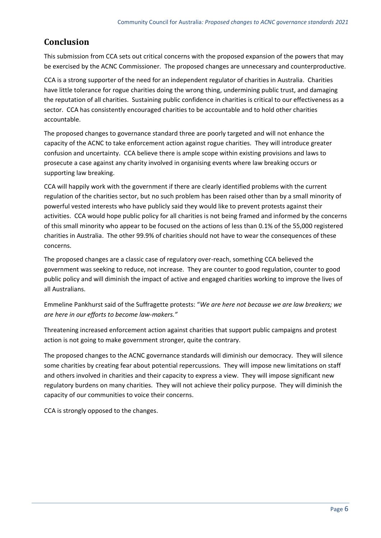## **Conclusion**

This submission from CCA sets out critical concerns with the proposed expansion of the powers that may be exercised by the ACNC Commissioner. The proposed changes are unnecessary and counterproductive.

CCA is a strong supporter of the need for an independent regulator of charities in Australia. Charities have little tolerance for rogue charities doing the wrong thing, undermining public trust, and damaging the reputation of all charities. Sustaining public confidence in charities is critical to our effectiveness as a sector. CCA has consistently encouraged charities to be accountable and to hold other charities accountable.

The proposed changes to governance standard three are poorly targeted and will not enhance the capacity of the ACNC to take enforcement action against rogue charities. They will introduce greater confusion and uncertainty. CCA believe there is ample scope within existing provisions and laws to prosecute a case against any charity involved in organising events where law breaking occurs or supporting law breaking.

CCA will happily work with the government if there are clearly identified problems with the current regulation of the charities sector, but no such problem has been raised other than by a small minority of powerful vested interests who have publicly said they would like to prevent protests against their activities. CCA would hope public policy for all charities is not being framed and informed by the concerns of this small minority who appear to be focused on the actions of less than 0.1% of the 55,000 registered charities in Australia. The other 99.9% of charities should not have to wear the consequences of these concerns.

The proposed changes are a classic case of regulatory over-reach, something CCA believed the government was seeking to reduce, not increase. They are counter to good regulation, counter to good public policy and will diminish the impact of active and engaged charities working to improve the lives of all Australians.

Emmeline Pankhurst said of the Suffragette protests: "*We are here not because we are law breakers; we are here in our efforts to become law-makers."*

Threatening increased enforcement action against charities that support public campaigns and protest action is not going to make government stronger, quite the contrary.

The proposed changes to the ACNC governance standards will diminish our democracy. They will silence some charities by creating fear about potential repercussions. They will impose new limitations on staff and others involved in charities and their capacity to express a view. They will impose significant new regulatory burdens on many charities. They will not achieve their policy purpose. They will diminish the capacity of our communities to voice their concerns.

CCA is strongly opposed to the changes.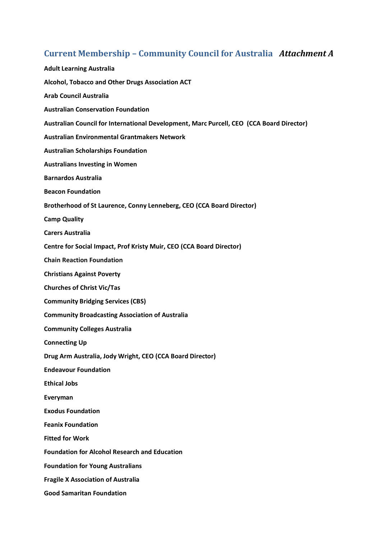# **Current Membership – Community Council for Australia** *Attachment A*

| <b>Adult Learning Australia</b>                                                          |
|------------------------------------------------------------------------------------------|
| Alcohol, Tobacco and Other Drugs Association ACT                                         |
| <b>Arab Council Australia</b>                                                            |
| <b>Australian Conservation Foundation</b>                                                |
| Australian Council for International Development, Marc Purcell, CEO (CCA Board Director) |
| <b>Australian Environmental Grantmakers Network</b>                                      |
| <b>Australian Scholarships Foundation</b>                                                |
| <b>Australians Investing in Women</b>                                                    |
| <b>Barnardos Australia</b>                                                               |
| <b>Beacon Foundation</b>                                                                 |
| Brotherhood of St Laurence, Conny Lenneberg, CEO (CCA Board Director)                    |
| <b>Camp Quality</b>                                                                      |
| <b>Carers Australia</b>                                                                  |
| Centre for Social Impact, Prof Kristy Muir, CEO (CCA Board Director)                     |
| <b>Chain Reaction Foundation</b>                                                         |
| <b>Christians Against Poverty</b>                                                        |
| <b>Churches of Christ Vic/Tas</b>                                                        |
| <b>Community Bridging Services (CBS)</b>                                                 |
| <b>Community Broadcasting Association of Australia</b>                                   |
| <b>Community Colleges Australia</b>                                                      |
| <b>Connecting Up</b>                                                                     |
| Drug Arm Australia, Jody Wright, CEO (CCA Board Director)                                |
| <b>Endeavour Foundation</b>                                                              |
| <b>Ethical Jobs</b>                                                                      |
| Everyman                                                                                 |
| <b>Exodus Foundation</b>                                                                 |
| <b>Feanix Foundation</b>                                                                 |
| <b>Fitted for Work</b>                                                                   |
| <b>Foundation for Alcohol Research and Education</b>                                     |
| <b>Foundation for Young Australians</b>                                                  |
| <b>Fragile X Association of Australia</b>                                                |
| <b>Good Samaritan Foundation</b>                                                         |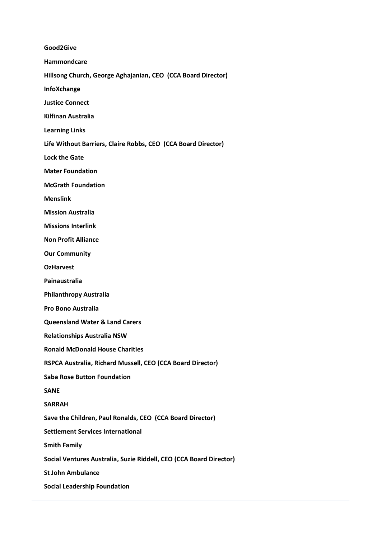**Good2Give Hammondcare Hillsong Church, George Aghajanian, CEO (CCA Board Director) InfoXchange Justice Connect Kilfinan Australia Learning Links Life Without Barriers, Claire Robbs, CEO (CCA Board Director) Lock the Gate Mater Foundation McGrath Foundation Menslink Mission Australia Missions Interlink Non Profit Alliance Our Community OzHarvest Painaustralia Philanthropy Australia Pro Bono Australia Queensland Water & Land Carers Relationships Australia NSW Ronald McDonald House Charities RSPCA Australia, Richard Mussell, CEO (CCA Board Director) Saba Rose Button Foundation SANE SARRAH Save the Children, Paul Ronalds, CEO (CCA Board Director) Settlement Services International Smith Family**

**Social Ventures Australia, Suzie Riddell, CEO (CCA Board Director)**

**St John Ambulance**

**Social Leadership Foundation**